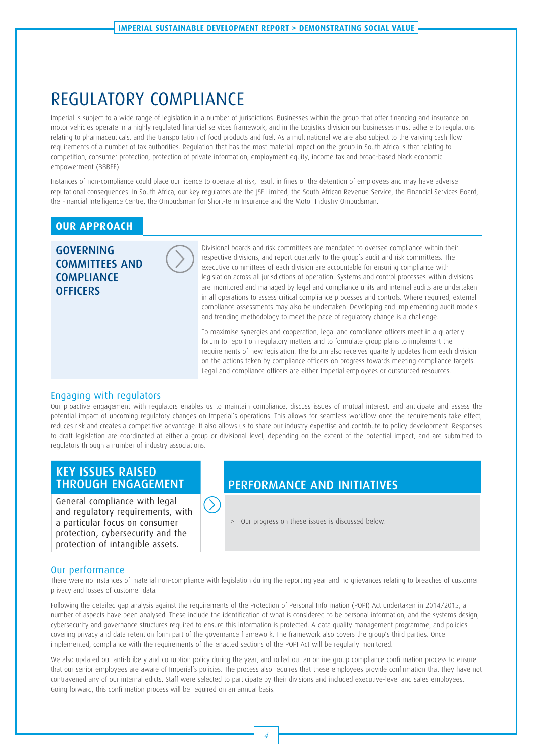## REGULATORY COMPLIANCE

Imperial is subject to a wide range of legislation in a number of jurisdictions. Businesses within the group that offer financing and insurance on motor vehicles operate in a highly regulated financial services framework, and in the Logistics division our businesses must adhere to regulations relating to pharmaceuticals, and the transportation of food products and fuel. As a multinational we are also subject to the varying cash flow requirements of a number of tax authorities. Regulation that has the most material impact on the group in South Africa is that relating to competition, consumer protection, protection of private information, employment equity, income tax and broad-based black economic empowerment (BBBEE).

Instances of non-compliance could place our licence to operate at risk, result in fines or the detention of employees and may have adverse reputational consequences. In South Africa, our key regulators are the JSE Limited, the South African Revenue Service, the Financial Services Board, the Financial Intelligence Centre, the Ombudsman for Short-term Insurance and the Motor Industry Ombudsman.

#### **OUR APPROACH**

GOVERNING COMMITTEES AND **COMPLIANCE OFFICERS** 



Divisional boards and risk committees are mandated to oversee compliance within their respective divisions, and report quarterly to the group's audit and risk committees. The executive committees of each division are accountable for ensuring compliance with legislation across all jurisdictions of operation. Systems and control processes within divisions are monitored and managed by legal and compliance units and internal audits are undertaken in all operations to assess critical compliance processes and controls. Where required, external compliance assessments may also be undertaken. Developing and implementing audit models and trending methodology to meet the pace of regulatory change is a challenge.

To maximise synergies and cooperation, legal and compliance officers meet in a quarterly forum to report on regulatory matters and to formulate group plans to implement the requirements of new legislation. The forum also receives quarterly updates from each division on the actions taken by compliance officers on progress towards meeting compliance targets. Legal and compliance officers are either Imperial employees or outsourced resources.

#### Engaging with regulators

Our proactive engagement with regulators enables us to maintain compliance, discuss issues of mutual interest, and anticipate and assess the potential impact of upcoming regulatory changes on Imperial's operations. This allows for seamless workflow once the requirements take effect, reduces risk and creates a competitive advantage. It also allows us to share our industry expertise and contribute to policy development. Responses to draft legislation are coordinated at either a group or divisional level, depending on the extent of the potential impact, and are submitted to regulators through a number of industry associations.

# KEY ISSUES RAISED<br>THROUGH ENGAGEMENT

General compliance with legal and regulatory requirements, with a particular focus on consumer protection, cybersecurity and the protection of intangible assets.

### PERFORMANCE AND INITIATIVES

> Our progress on these issues is discussed below.

#### Our performance

There were no instances of material non-compliance with legislation during the reporting year and no grievances relating to breaches of customer privacy and losses of customer data.

 $(\sum)$ 

Following the detailed gap analysis against the requirements of the Protection of Personal Information (POPI) Act undertaken in 2014/2015, a number of aspects have been analysed. These include the identification of what is considered to be personal information; and the systems design, cybersecurity and governance structures required to ensure this information is protected. A data quality management programme, and policies covering privacy and data retention form part of the governance framework. The framework also covers the group's third parties. Once implemented, compliance with the requirements of the enacted sections of the POPI Act will be regularly monitored.

We also updated our anti-bribery and corruption policy during the year, and rolled out an online group compliance confirmation process to ensure that our senior employees are aware of Imperial's policies. The process also requires that these employees provide confirmation that they have not contravened any of our internal edicts. Staff were selected to participate by their divisions and included executive-level and sales employees. Going forward, this confirmation process will be required on an annual basis.